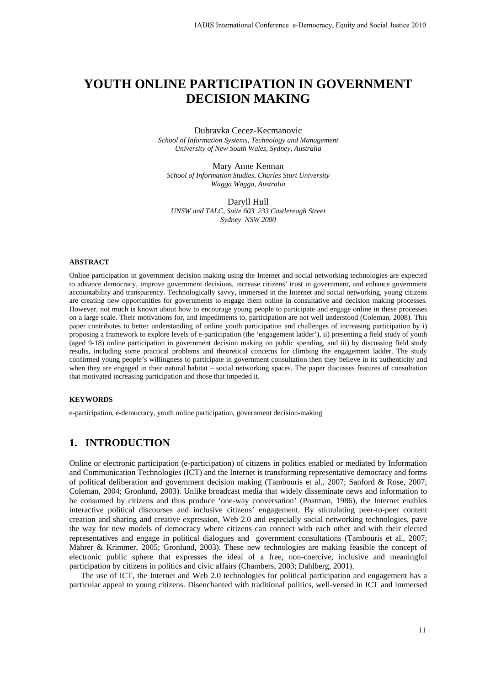# **YOUTH ONLINE PARTICIPATION IN GOVERNMENT DECISION MAKING**

#### Dubravka Cecez-Kecmanovic *School of Information Systems, Technology and Management University of New South Wales, Sydney, Australia*

Mary Anne Kennan *School of Information Studies, Charles Sturt University Wagga Wagga, Australia* 

Daryll Hull *UNSW and TALC, Suite 603 233 Castlereagh Street Sydney NSW 2000* 

#### **ABSTRACT**

Online participation in government decision making using the Internet and social networking technologies are expected to advance democracy, improve government decisions, increase citizens' trust in government, and enhance government accountability and transparency. Technologically savvy, immersed in the Internet and social networking, young citizens are creating new opportunities for governments to engage them online in consultative and decision making processes. However, not much is known about how to encourage young people to participate and engage online in these processes on a large scale. Their motivations for, and impediments to, participation are not well understood (Coleman, 2008). This paper contributes to better understanding of online youth participation and challenges of increasing participation by i) proposing a framework to explore levels of e-participation (the 'engagement ladder'), ii) presenting a field study of youth (aged 9-18) online participation in government decision making on public spending, and iii) by discussing field study results, including some practical problems and theoretical concerns for climbing the engagement ladder. The study confirmed young people's willingness to participate in government consultation then they believe in its authenticity and when they are engaged in their natural habitat – social networking spaces. The paper discusses features of consultation that motivated increasing participation and those that impeded it.

#### **KEYWORDS**

e-participation, e-democracy, youth online participation, government decision-making

# **1. INTRODUCTION**

Online or electronic participation (e-participation) of citizens in politics enabled or mediated by Information and Communication Technologies (ICT) and the Internet is transforming representative democracy and forms of political deliberation and government decision making (Tambouris et al., 2007; Sanford & Rose, 2007; Coleman, 2004; Gronlund, 2003). Unlike broadcast media that widely disseminate news and information to be consumed by citizens and thus produce 'one-way conversation' (Postman, 1986), the Internet enables interactive political discourses and inclusive citizens' engagement. By stimulating peer-to-peer content creation and sharing and creative expression, Web 2.0 and especially social networking technologies, pave the way for new models of democracy where citizens can connect with each other and with their elected representatives and engage in political dialogues and government consultations (Tambouris et al., 2007; Mahrer & Krimmer, 2005; Gronlund, 2003). These new technologies are making feasible the concept of electronic public sphere that expresses the ideal of a free, non-coercive, inclusive and meaningful participation by citizens in politics and civic affairs (Chambers, 2003; Dahlberg, 2001). IADIS International Conference e-Democracy, Equity and Social Justice 2010<br> **PARTICIPATION IN GOVERNMENT**<br> **Durbavka Cece-Accemanovic**<br> **Durbavka Cece-Accemanovic**<br> **Durbavka Cece-Accemanovic**<br> **Conference externation**<br>

The use of ICT, the Internet and Web 2.0 technologies for political participation and engagement has a particular appeal to young citizens. Disenchanted with traditional politics, well-versed in ICT and immersed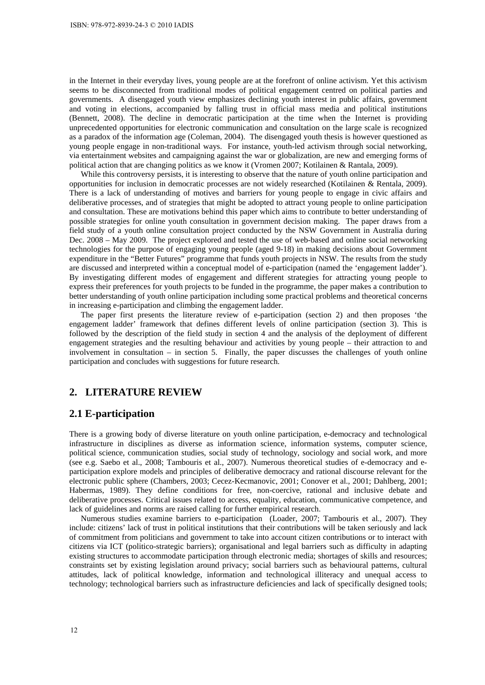in the Internet in their everyday lives, young people are at the forefront of online activism. Yet this activism seems to be disconnected from traditional modes of political engagement centred on political parties and governments. A disengaged youth view emphasizes declining youth interest in public affairs, government and voting in elections, accompanied by falling trust in official mass media and political institutions (Bennett, 2008). The decline in democratic participation at the time when the Internet is providing unprecedented opportunities for electronic communication and consultation on the large scale is recognized as a paradox of the information age (Coleman, 2004). The disengaged youth thesis is however questioned as young people engage in non-traditional ways. For instance, youth-led activism through social networking, via entertainment websites and campaigning against the war or globalization, are new and emerging forms of political action that are changing politics as we know it (Vromen 2007; Kotilainen & Rantala, 2009).

While this controversy persists, it is interesting to observe that the nature of youth online participation and opportunities for inclusion in democratic processes are not widely researched (Kotilainen & Rentala, 2009). There is a lack of understanding of motives and barriers for young people to engage in civic affairs and deliberative processes, and of strategies that might be adopted to attract young people to online participation and consultation. These are motivations behind this paper which aims to contribute to better understanding of possible strategies for online youth consultation in government decision making. The paper draws from a field study of a youth online consultation project conducted by the NSW Government in Australia during Dec. 2008 – May 2009. The project explored and tested the use of web-based and online social networking technologies for the purpose of engaging young people (aged 9-18) in making decisions about Government expenditure in the "Better Futures" programme that funds youth projects in NSW. The results from the study are discussed and interpreted within a conceptual model of e-participation (named the 'engagement ladder'). By investigating different modes of engagement and different strategies for attracting young people to express their preferences for youth projects to be funded in the programme, the paper makes a contribution to better understanding of youth online participation including some practical problems and theoretical concerns in increasing e-participation and climbing the engagement ladder.

The paper first presents the literature review of e-participation (section 2) and then proposes 'the engagement ladder' framework that defines different levels of online participation (section 3). This is followed by the description of the field study in section 4 and the analysis of the deployment of different engagement strategies and the resulting behaviour and activities by young people – their attraction to and involvement in consultation – in section 5. Finally, the paper discusses the challenges of youth online participation and concludes with suggestions for future research.

#### **2. LITERATURE REVIEW**

#### **2.1 E-participation**

There is a growing body of diverse literature on youth online participation, e-democracy and technological infrastructure in disciplines as diverse as information science, information systems, computer science, political science, communication studies, social study of technology, sociology and social work, and more (see e.g. Saebo et al., 2008; Tambouris et al., 2007). Numerous theoretical studies of e-democracy and eparticipation explore models and principles of deliberative democracy and rational discourse relevant for the electronic public sphere (Chambers, 2003; Cecez-Kecmanovic, 2001; Conover et al., 2001; Dahlberg, 2001; Habermas, 1989). They define conditions for free, non-coercive, rational and inclusive debate and deliberative processes. Critical issues related to access, equality, education, communicative competence, and lack of guidelines and norms are raised calling for further empirical research.

Numerous studies examine barriers to e-participation (Loader, 2007; Tambouris et al., 2007). They include: citizens' lack of trust in political institutions that their contributions will be taken seriously and lack of commitment from politicians and government to take into account citizen contributions or to interact with citizens via ICT (politico-strategic barriers); organisational and legal barriers such as difficulty in adapting existing structures to accommodate participation through electronic media; shortages of skills and resources; constraints set by existing legislation around privacy; social barriers such as behavioural patterns, cultural attitudes, lack of political knowledge, information and technological illiteracy and unequal access to technology; technological barriers such as infrastructure deficiencies and lack of specifically designed tools;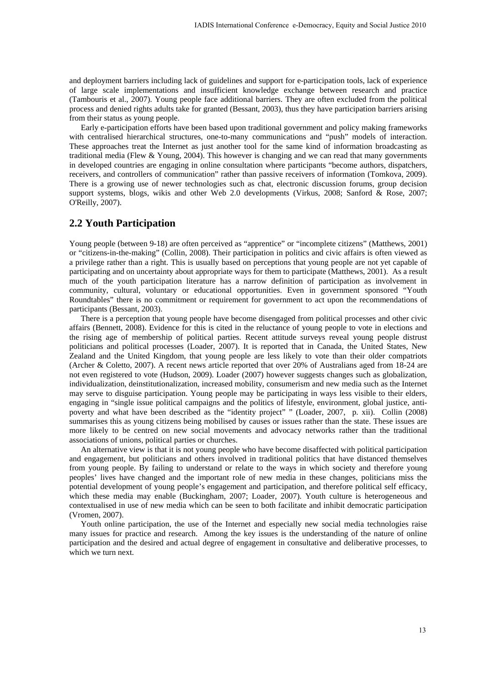and deployment barriers including lack of guidelines and support for e-participation tools, lack of experience of large scale implementations and insufficient knowledge exchange between research and practice (Tambouris et al., 2007). Young people face additional barriers. They are often excluded from the political process and denied rights adults take for granted (Bessant, 2003), thus they have participation barriers arising from their status as young people.

Early e-participation efforts have been based upon traditional government and policy making frameworks with centralised hierarchical structures, one-to-many communications and "push" models of interaction. These approaches treat the Internet as just another tool for the same kind of information broadcasting as traditional media (Flew & Young, 2004). This however is changing and we can read that many governments in developed countries are engaging in online consultation where participants "become authors, dispatchers, receivers, and controllers of communication" rather than passive receivers of information (Tomkova, 2009). There is a growing use of newer technologies such as chat, electronic discussion forums, group decision support systems, blogs, wikis and other Web 2.0 developments (Virkus, 2008; Sanford & Rose, 2007; O'Reilly, 2007).

### **2.2 Youth Participation**

Young people (between 9-18) are often perceived as "apprentice" or "incomplete citizens" (Matthews, 2001) or "citizens-in-the-making" (Collin, 2008). Their participation in politics and civic affairs is often viewed as a privilege rather than a right. This is usually based on perceptions that young people are not yet capable of participating and on uncertainty about appropriate ways for them to participate (Matthews, 2001). As a result much of the youth participation literature has a narrow definition of participation as involvement in community, cultural, voluntary or educational opportunities. Even in government sponsored "Youth Roundtables" there is no commitment or requirement for government to act upon the recommendations of participants (Bessant, 2003).

There is a perception that young people have become disengaged from political processes and other civic affairs (Bennett, 2008). Evidence for this is cited in the reluctance of young people to vote in elections and the rising age of membership of political parties. Recent attitude surveys reveal young people distrust politicians and political processes (Loader, 2007). It is reported that in Canada, the United States, New Zealand and the United Kingdom, that young people are less likely to vote than their older compatriots (Archer & Coletto, 2007). A recent news article reported that over 20% of Australians aged from 18-24 are not even registered to vote (Hudson, 2009). Loader (2007) however suggests changes such as globalization, individualization, deinstitutionalization, increased mobility, consumerism and new media such as the Internet may serve to disguise participation. Young people may be participating in ways less visible to their elders, engaging in "single issue political campaigns and the politics of lifestyle, environment, global justice, antipoverty and what have been described as the "identity project" " (Loader, 2007, p. xii). Collin (2008) summarises this as young citizens being mobilised by causes or issues rather than the state. These issues are more likely to be centred on new social movements and advocacy networks rather than the traditional associations of unions, political parties or churches. IADIS International Conference e-Democracy, Equity and Social Justice 2010<br>
In of guidelines and support for e-participation tools, lack of experience<br>
in insulfacient knowledge exchange between research and practice<br>
in F

An alternative view is that it is not young people who have become disaffected with political participation and engagement, but politicians and others involved in traditional politics that have distanced themselves from young people. By failing to understand or relate to the ways in which society and therefore young peoples' lives have changed and the important role of new media in these changes, politicians miss the potential development of young people's engagement and participation, and therefore political self efficacy, which these media may enable (Buckingham, 2007; Loader, 2007). Youth culture is heterogeneous and contextualised in use of new media which can be seen to both facilitate and inhibit democratic participation (Vromen, 2007).

Youth online participation, the use of the Internet and especially new social media technologies raise many issues for practice and research. Among the key issues is the understanding of the nature of online participation and the desired and actual degree of engagement in consultative and deliberative processes, to which we turn next.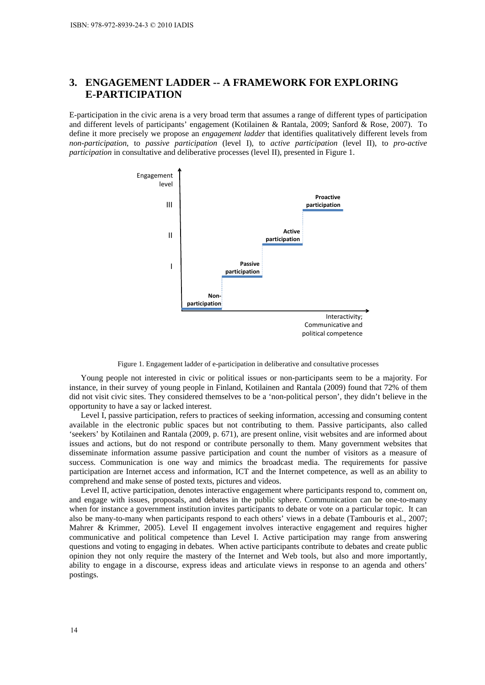# **3. ENGAGEMENT LADDER -- A FRAMEWORK FOR EXPLORING E-PARTICIPATION**

E-participation in the civic arena is a very broad term that assumes a range of different types of participation and different levels of participants' engagement (Kotilainen & Rantala, 2009; Sanford & Rose, 2007). To define it more precisely we propose an *engagement ladder* that identifies qualitatively different levels from *non-participation*, to *passive participation* (level I), to *active participation* (level II), to *pro-active participation* in consultative and deliberative processes (level II), presented in Figure 1.



Figure 1. Engagement ladder of e-participation in deliberative and consultative processes

Young people not interested in civic or political issues or non-participants seem to be a majority. For instance, in their survey of young people in Finland, Kotilainen and Rantala (2009) found that 72% of them did not visit civic sites. They considered themselves to be a 'non-political person', they didn't believe in the opportunity to have a say or lacked interest.

Level I, passive participation, refers to practices of seeking information, accessing and consuming content available in the electronic public spaces but not contributing to them. Passive participants, also called 'seekers' by Kotilainen and Rantala (2009, p. 671), are present online, visit websites and are informed about issues and actions, but do not respond or contribute personally to them. Many government websites that disseminate information assume passive participation and count the number of visitors as a measure of success. Communication is one way and mimics the broadcast media. The requirements for passive participation are Internet access and information, ICT and the Internet competence, as well as an ability to comprehend and make sense of posted texts, pictures and videos.

Level II, active participation, denotes interactive engagement where participants respond to, comment on, and engage with issues, proposals, and debates in the public sphere. Communication can be one-to-many when for instance a government institution invites participants to debate or vote on a particular topic. It can also be many-to-many when participants respond to each others' views in a debate (Tambouris et al., 2007; Mahrer & Krimmer, 2005). Level II engagement involves interactive engagement and requires higher communicative and political competence than Level I. Active participation may range from answering questions and voting to engaging in debates. When active participants contribute to debates and create public opinion they not only require the mastery of the Internet and Web tools, but also and more importantly, ability to engage in a discourse, express ideas and articulate views in response to an agenda and others' postings.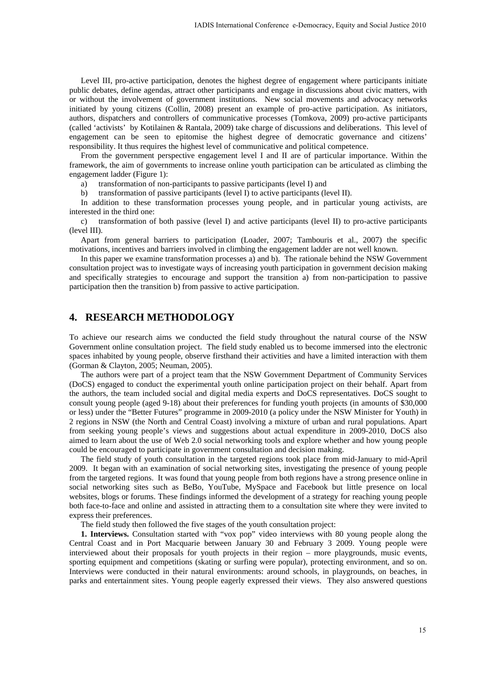Level III, pro-active participation, denotes the highest degree of engagement where participants initiate public debates, define agendas, attract other participants and engage in discussions about civic matters, with or without the involvement of government institutions. New social movements and advocacy networks initiated by young citizens (Collin, 2008) present an example of pro-active participation. As initiators, authors, dispatchers and controllers of communicative processes (Tomkova, 2009) pro-active participants (called 'activists' by Kotilainen & Rantala, 2009) take charge of discussions and deliberations. This level of engagement can be seen to epitomise the highest degree of democratic governance and citizens' responsibility. It thus requires the highest level of communicative and political competence.

From the government perspective engagement level I and II are of particular importance. Within the framework, the aim of governments to increase online youth participation can be articulated as climbing the engagement ladder (Figure 1):

a) transformation of non-participants to passive participants (level I) and

b) transformation of passive participants (level I) to active participants (level II).

In addition to these transformation processes young people, and in particular young activists, are interested in the third one:

c) transformation of both passive (level I) and active participants (level II) to pro-active participants (level III).

Apart from general barriers to participation (Loader, 2007; Tambouris et al., 2007) the specific motivations, incentives and barriers involved in climbing the engagement ladder are not well known.

In this paper we examine transformation processes a) and b). The rationale behind the NSW Government consultation project was to investigate ways of increasing youth participation in government decision making and specifically strategies to encourage and support the transition a) from non-participation to passive participation then the transition b) from passive to active participation.

# **4. RESEARCH METHODOLOGY**

To achieve our research aims we conducted the field study throughout the natural course of the NSW Government online consultation project. The field study enabled us to become immersed into the electronic spaces inhabited by young people, observe firsthand their activities and have a limited interaction with them (Gorman & Clayton, 2005; Neuman, 2005).

The authors were part of a project team that the NSW Government Department of Community Services (DoCS) engaged to conduct the experimental youth online participation project on their behalf. Apart from the authors, the team included social and digital media experts and DoCS representatives. DoCS sought to consult young people (aged 9-18) about their preferences for funding youth projects (in amounts of \$30,000 or less) under the "Better Futures" programme in 2009-2010 (a policy under the NSW Minister for Youth) in 2 regions in NSW (the North and Central Coast) involving a mixture of urban and rural populations. Apart from seeking young people's views and suggestions about actual expenditure in 2009-2010, DoCS also aimed to learn about the use of Web 2.0 social networking tools and explore whether and how young people could be encouraged to participate in government consultation and decision making. IADIS International Conference e-Democracy, Equity and Social Justice 2010<br>
denotes the highest degree of engagement where participants initiative<br>
only the participants and engage in discussions about civic matures, with<br>

The field study of youth consultation in the targeted regions took place from mid-January to mid-April 2009. It began with an examination of social networking sites, investigating the presence of young people from the targeted regions. It was found that young people from both regions have a strong presence online in social networking sites such as BeBo, YouTube, MySpace and Facebook but little presence on local websites, blogs or forums. These findings informed the development of a strategy for reaching young people both face-to-face and online and assisted in attracting them to a consultation site where they were invited to express their preferences.

The field study then followed the five stages of the youth consultation project:

**1. Interviews.** Consultation started with "vox pop" video interviews with 80 young people along the Central Coast and in Port Macquarie between January 30 and February 3 2009. Young people were interviewed about their proposals for youth projects in their region – more playgrounds, music events, sporting equipment and competitions (skating or surfing were popular), protecting environment, and so on. Interviews were conducted in their natural environments: around schools, in playgrounds, on beaches, in parks and entertainment sites. Young people eagerly expressed their views. They also answered questions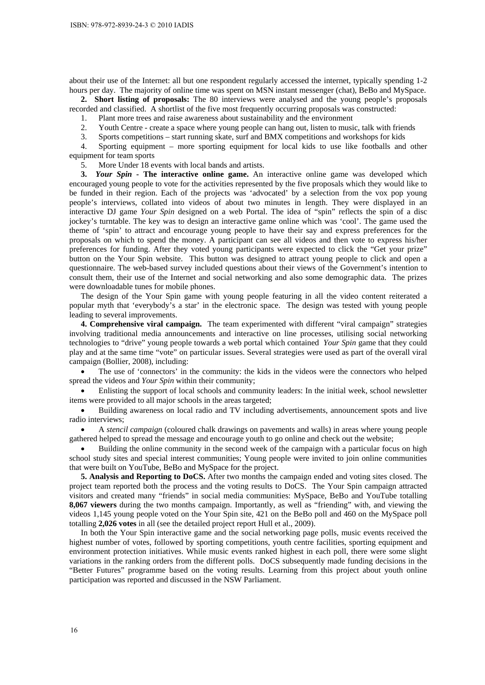about their use of the Internet: all but one respondent regularly accessed the internet, typically spending 1-2 hours per day. The majority of online time was spent on MSN instant messenger (chat), BeBo and MySpace.

**2. Short listing of proposals:** The 80 interviews were analysed and the young people's proposals recorded and classified. A shortlist of the five most frequently occurring proposals was constructed:

1. Plant more trees and raise awareness about sustainability and the environment

- 2. Youth Centre create a space where young people can hang out, listen to music, talk with friends
- 3. Sports competitions start running skate, surf and BMX competitions and workshops for kids

4. Sporting equipment – more sporting equipment for local kids to use like footballs and other equipment for team sports

5. More Under 18 events with local bands and artists.

**3.** *Your Spin* **- The interactive online game.** An interactive online game was developed which encouraged young people to vote for the activities represented by the five proposals which they would like to be funded in their region. Each of the projects was 'advocated' by a selection from the vox pop young people's interviews, collated into videos of about two minutes in length. They were displayed in an interactive DJ game *Your Spin* designed on a web Portal. The idea of "spin" reflects the spin of a disc jockey's turntable. The key was to design an interactive game online which was 'cool'. The game used the theme of 'spin' to attract and encourage young people to have their say and express preferences for the proposals on which to spend the money. A participant can see all videos and then vote to express his/her preferences for funding. After they voted young participants were expected to click the "Get your prize" button on the Your Spin website. This button was designed to attract young people to click and open a questionnaire. The web-based survey included questions about their views of the Government's intention to consult them, their use of the Internet and social networking and also some demographic data. The prizes were downloadable tunes for mobile phones.

The design of the Your Spin game with young people featuring in all the video content reiterated a popular myth that 'everybody's a star' in the electronic space. The design was tested with young people leading to several improvements.

**4. Comprehensive viral campaign.** The team experimented with different "viral campaign" strategies involving traditional media announcements and interactive on line processes, utilising social networking technologies to "drive" young people towards a web portal which contained *Your Spin* game that they could play and at the same time "vote" on particular issues. Several strategies were used as part of the overall viral campaign (Bollier, 2008), including:

 The use of 'connectors' in the community: the kids in the videos were the connectors who helped spread the videos and *Your Spin* within their community;

 Enlisting the support of local schools and community leaders: In the initial week, school newsletter items were provided to all major schools in the areas targeted;

 Building awareness on local radio and TV including advertisements, announcement spots and live radio interviews;

 A *stencil campaign* (coloured chalk drawings on pavements and walls) in areas where young people gathered helped to spread the message and encourage youth to go online and check out the website;

 Building the online community in the second week of the campaign with a particular focus on high school study sites and special interest communities; Young people were invited to join online communities that were built on YouTube, BeBo and MySpace for the project.

**5. Analysis and Reporting to DoCS.** After two months the campaign ended and voting sites closed. The project team reported both the process and the voting results to DoCS. The Your Spin campaign attracted visitors and created many "friends" in social media communities: MySpace, BeBo and YouTube totalling **8,067 viewers** during the two months campaign. Importantly, as well as "friending" with, and viewing the videos 1,145 young people voted on the Your Spin site, 421 on the BeBo poll and 460 on the MySpace poll totalling **2,026 votes** in all (see the detailed project report Hull et al., 2009).

In both the Your Spin interactive game and the social networking page polls, music events received the highest number of votes, followed by sporting competitions, youth centre facilities, sporting equipment and environment protection initiatives. While music events ranked highest in each poll, there were some slight variations in the ranking orders from the different polls. DoCS subsequently made funding decisions in the "Better Futures" programme based on the voting results. Learning from this project about youth online participation was reported and discussed in the NSW Parliament.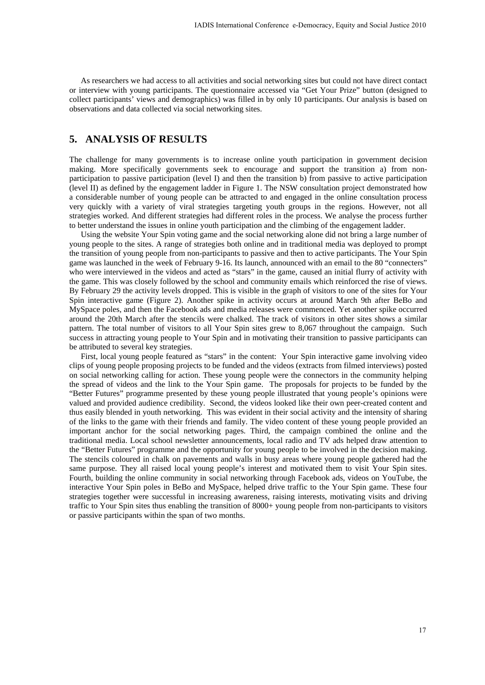As researchers we had access to all activities and social networking sites but could not have direct contact or interview with young participants. The questionnaire accessed via "Get Your Prize" button (designed to collect participants' views and demographics) was filled in by only 10 participants. Our analysis is based on observations and data collected via social networking sites.

### **5. ANALYSIS OF RESULTS**

The challenge for many governments is to increase online youth participation in government decision making. More specifically governments seek to encourage and support the transition a) from nonparticipation to passive participation (level I) and then the transition b) from passive to active participation (level II) as defined by the engagement ladder in Figure 1. The NSW consultation project demonstrated how a considerable number of young people can be attracted to and engaged in the online consultation process very quickly with a variety of viral strategies targeting youth groups in the regions. However, not all strategies worked. And different strategies had different roles in the process. We analyse the process further to better understand the issues in online youth participation and the climbing of the engagement ladder.

Using the website Your Spin voting game and the social networking alone did not bring a large number of young people to the sites. A range of strategies both online and in traditional media was deployed to prompt the transition of young people from non-participants to passive and then to active participants. The Your Spin game was launched in the week of February 9-16. Its launch, announced with an email to the 80 "connecters" who were interviewed in the videos and acted as "stars" in the game, caused an initial flurry of activity with the game. This was closely followed by the school and community emails which reinforced the rise of views. By February 29 the activity levels dropped. This is visible in the graph of visitors to one of the sites for Your Spin interactive game (Figure 2). Another spike in activity occurs at around March 9th after BeBo and MySpace poles, and then the Facebook ads and media releases were commenced. Yet another spike occurred around the 20th March after the stencils were chalked. The track of visitors in other sites shows a similar pattern. The total number of visitors to all Your Spin sites grew to 8,067 throughout the campaign. Such success in attracting young people to Your Spin and in motivating their transition to passive participants can be attributed to several key strategies.

First, local young people featured as "stars" in the content: Your Spin interactive game involving video clips of young people proposing projects to be funded and the videos (extracts from filmed interviews) posted on social networking calling for action. These young people were the connectors in the community helping the spread of videos and the link to the Your Spin game. The proposals for projects to be funded by the "Better Futures" programme presented by these young people illustrated that young people's opinions were valued and provided audience credibility. Second, the videos looked like their own peer-created content and thus easily blended in youth networking. This was evident in their social activity and the intensity of sharing of the links to the game with their friends and family. The video content of these young people provided an important anchor for the social networking pages. Third, the campaign combined the online and the traditional media. Local school newsletter announcements, local radio and TV ads helped draw attention to the "Better Futures" programme and the opportunity for young people to be involved in the decision making. The stencils coloured in chalk on pavements and walls in busy areas where young people gathered had the same purpose. They all raised local young people's interest and motivated them to visit Your Spin sites. Fourth, building the online community in social networking through Facebook ads, videos on YouTube, the interactive Your Spin poles in BeBo and MySpace, helped drive traffic to the Your Spin game. These four strategies together were successful in increasing awareness, raising interests, motivating visits and driving traffic to Your Spin sites thus enabling the transition of 8000+ young people from non-participants to visitors or passive participants within the span of two months. IADIS International Conference e-Democracy, Equity and Social Justice 2010<br>
activities and social networking sites but could not have direct connect<br>
The questionnaire accessed via "Get You Pixtae" but only alternative act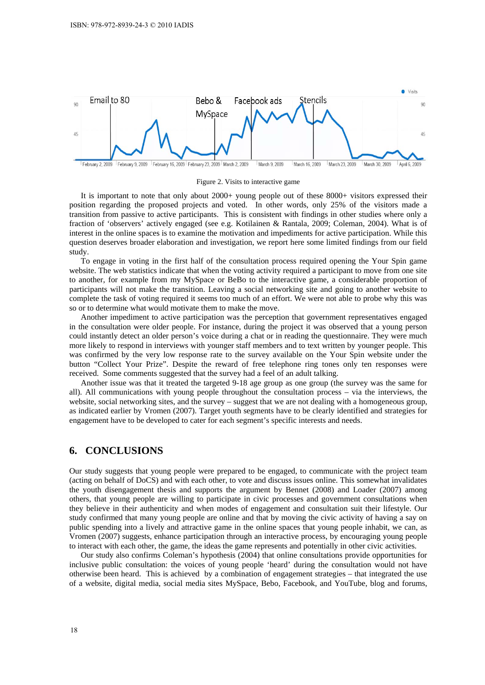

Figure 2. Visits to interactive game

It is important to note that only about 2000+ young people out of these 8000+ visitors expressed their position regarding the proposed projects and voted. In other words, only 25% of the visitors made a transition from passive to active participants. This is consistent with findings in other studies where only a fraction of 'observers' actively engaged (see e.g. Kotilainen & Rantala, 2009; Coleman, 2004). What is of interest in the online spaces is to examine the motivation and impediments for active participation. While this question deserves broader elaboration and investigation, we report here some limited findings from our field study.

To engage in voting in the first half of the consultation process required opening the Your Spin game website. The web statistics indicate that when the voting activity required a participant to move from one site to another, for example from my MySpace or BeBo to the interactive game, a considerable proportion of participants will not make the transition. Leaving a social networking site and going to another website to complete the task of voting required it seems too much of an effort. We were not able to probe why this was so or to determine what would motivate them to make the move.

Another impediment to active participation was the perception that government representatives engaged in the consultation were older people. For instance, during the project it was observed that a young person could instantly detect an older person's voice during a chat or in reading the questionnaire. They were much more likely to respond in interviews with younger staff members and to text written by younger people. This was confirmed by the very low response rate to the survey available on the Your Spin website under the button "Collect Your Prize". Despite the reward of free telephone ring tones only ten responses were received. Some comments suggested that the survey had a feel of an adult talking.

Another issue was that it treated the targeted 9-18 age group as one group (the survey was the same for all). All communications with young people throughout the consultation process – via the interviews, the website, social networking sites, and the survey – suggest that we are not dealing with a homogeneous group, as indicated earlier by Vromen (2007). Target youth segments have to be clearly identified and strategies for engagement have to be developed to cater for each segment's specific interests and needs.

### **6. CONCLUSIONS**

Our study suggests that young people were prepared to be engaged, to communicate with the project team (acting on behalf of DoCS) and with each other, to vote and discuss issues online. This somewhat invalidates the youth disengagement thesis and supports the argument by Bennet (2008) and Loader (2007) among others, that young people are willing to participate in civic processes and government consultations when they believe in their authenticity and when modes of engagement and consultation suit their lifestyle. Our study confirmed that many young people are online and that by moving the civic activity of having a say on public spending into a lively and attractive game in the online spaces that young people inhabit, we can, as Vromen (2007) suggests, enhance participation through an interactive process, by encouraging young people to interact with each other, the game, the ideas the game represents and potentially in other civic activities.

Our study also confirms Coleman's hypothesis (2004) that online consultations provide opportunities for inclusive public consultation: the voices of young people 'heard' during the consultation would not have otherwise been heard. This is achieved by a combination of engagement strategies – that integrated the use of a website, digital media, social media sites MySpace, Bebo, Facebook, and YouTube, blog and forums,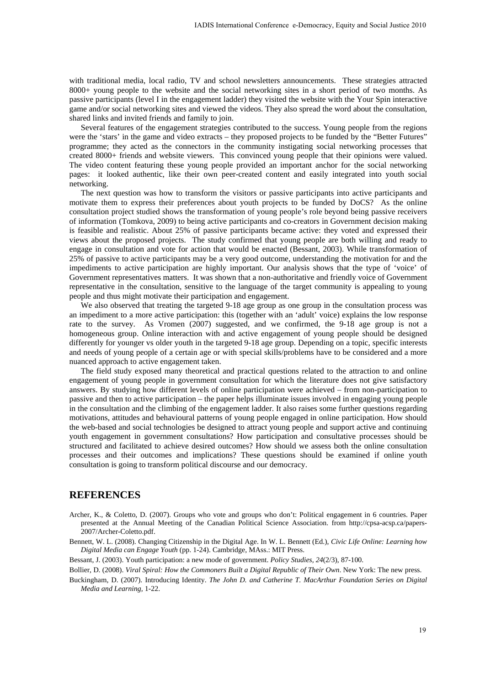with traditional media, local radio, TV and school newsletters announcements. These strategies attracted 8000+ young people to the website and the social networking sites in a short period of two months. As passive participants (level I in the engagement ladder) they visited the website with the Your Spin interactive game and/or social networking sites and viewed the videos. They also spread the word about the consultation, shared links and invited friends and family to join.

Several features of the engagement strategies contributed to the success. Young people from the regions were the 'stars' in the game and video extracts – they proposed projects to be funded by the "Better Futures" programme; they acted as the connectors in the community instigating social networking processes that created 8000+ friends and website viewers. This convinced young people that their opinions were valued. The video content featuring these young people provided an important anchor for the social networking pages: it looked authentic, like their own peer-created content and easily integrated into youth social networking.

The next question was how to transform the visitors or passive participants into active participants and motivate them to express their preferences about youth projects to be funded by DoCS? As the online consultation project studied shows the transformation of young people's role beyond being passive receivers of information (Tomkova, 2009) to being active participants and co-creators in Government decision making is feasible and realistic. About 25% of passive participants became active: they voted and expressed their views about the proposed projects. The study confirmed that young people are both willing and ready to engage in consultation and vote for action that would be enacted (Bessant, 2003). While transformation of 25% of passive to active participants may be a very good outcome, understanding the motivation for and the impediments to active participation are highly important. Our analysis shows that the type of 'voice' of Government representatives matters. It was shown that a non-authoritative and friendly voice of Government representative in the consultation, sensitive to the language of the target community is appealing to young people and thus might motivate their participation and engagement. IADIS International Conference e-Democracy, Equity and Social Justice 2010<br>V and school newsletters announcements. These strategies altracted<br>or word and school newsletters announcements. These strategies altracted<br>generat

We also observed that treating the targeted 9-18 age group as one group in the consultation process was an impediment to a more active participation: this (together with an 'adult' voice) explains the low response rate to the survey. As Vromen (2007) suggested, and we confirmed, the 9-18 age group is not a homogeneous group. Online interaction with and active engagement of young people should be designed differently for younger vs older youth in the targeted 9-18 age group. Depending on a topic, specific interests and needs of young people of a certain age or with special skills/problems have to be considered and a more nuanced approach to active engagement taken.

The field study exposed many theoretical and practical questions related to the attraction to and online engagement of young people in government consultation for which the literature does not give satisfactory answers. By studying how different levels of online participation were achieved – from non-participation to passive and then to active participation – the paper helps illuminate issues involved in engaging young people in the consultation and the climbing of the engagement ladder. It also raises some further questions regarding motivations, attitudes and behavioural patterns of young people engaged in online participation. How should the web-based and social technologies be designed to attract young people and support active and continuing youth engagement in government consultations? How participation and consultative processes should be structured and facilitated to achieve desired outcomes? How should we assess both the online consultation processes and their outcomes and implications? These questions should be examined if online youth consultation is going to transform political discourse and our democracy.

### **REFERENCES**

- Archer, K., & Coletto, D. (2007). Groups who vote and groups who don't: Political engagement in 6 countries. Paper presented at the Annual Meeting of the Canadian Political Science Association. from http://cpsa-acsp.ca/papers-2007/Archer-Coletto.pdf.
- Bennett, W. L. (2008). Changing Citizenship in the Digital Age. In W. L. Bennett (Ed.), *Civic Life Online: Learning how Digital Media can Engage Youth* (pp. 1-24). Cambridge, MAss.: MIT Press.
- Bessant, J. (2003). Youth participation: a new mode of government. *Policy Studies, 24*(2/3), 87-100.
- Bollier, D. (2008). *Viral Spiral: How the Commoners Built a Digital Republic of Their Own*. New York: The new press.
- Buckingham, D. (2007). Introducing Identity. *The John D. and Catherine T. MacArthur Foundation Series on Digital Media and Learning,* 1-22.